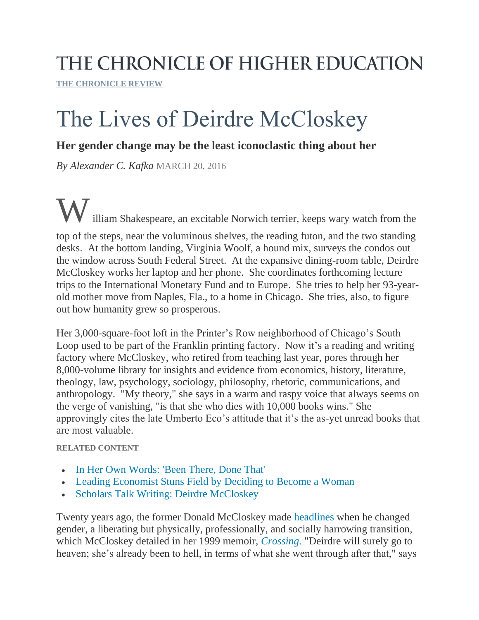## THE CHRONICLE OF HIGHER EDUCATION

**[THE CHRONICLE REVIEW](http://chronicle.com/section/The-Chronicle-Review/41)**

# The Lives of Deirdre McCloskey

### **Her gender change may be the least iconoclastic thing about her**

*By Alexander C. Kafka* MARCH 20, 2016

illiam Shakespeare, an excitable Norwich terrier, keeps wary watch from the top of the steps, near the voluminous shelves, the reading futon, and the two standing desks. At the bottom landing, Virginia Woolf, a hound mix, surveys the condos out the window across South Federal Street. At the expansive dining-room table, Deirdre McCloskey works her laptop and her phone. She coordinates forthcoming lecture trips to the International Monetary Fund and to Europe. She tries to help her 93-yearold mother move from Naples, Fla., to a home in Chicago. She tries, also, to figure out how humanity grew so prosperous.

Her 3,000-square-foot loft in the Printer's Row neighborhood of Chicago's South Loop used to be part of the Franklin printing factory. Now it's a reading and writing factory where McCloskey, who retired from teaching last year, pores through her 8,000-volume library for insights and evidence from economics, history, literature, theology, law, psychology, sociology, philosophy, rhetoric, communications, and anthropology. "My theory," she says in a warm and raspy voice that always seems on the verge of vanishing, "is that she who dies with 10,000 books wins." She approvingly cites the late Umberto Eco's attitude that it's the as-yet unread books that are most valuable.

#### **RELATED CONTENT**

- [In Her Own Words: 'Been There, Done That'](http://chronicle.com/article/Been-There-Done-That/233763?cid=rclink)
- [Leading Economist Stuns Field by Deciding to Become a Woman](http://chronicle.com/article/Leading-Economist-Stuns-Field/96442?cid=rclink)
- [Scholars Talk Writing: Deirdre McCloskey](http://chronicle.com/article/Scholars-Talk-Writing-Deirdre/235767?cid=rclink)

Twenty years ago, the former Donald McCloskey made [headlines](http://chronicle.com/article/Leading-Economist-Stuns-Field/96442) when he changed gender, a liberating but physically, professionally, and socially harrowing transition, which McCloskey detailed in her 1999 memoir, *[Crossing.](http://www.nytimes.com/1999/11/14/books/the-metamorphosis.html?pagewanted=all)* "Deirdre will surely go to heaven; she's already been to hell, in terms of what she went through after that," says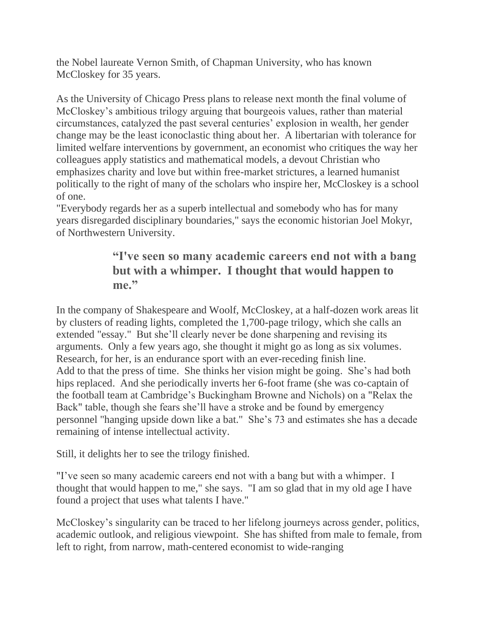the Nobel laureate Vernon Smith, of Chapman University, who has known McCloskey for 35 years.

As the University of Chicago Press plans to release next month the final volume of McCloskey's ambitious trilogy arguing that bourgeois values, rather than material circumstances, catalyzed the past several centuries' explosion in wealth, her gender change may be the least iconoclastic thing about her. A libertarian with tolerance for limited welfare interventions by government, an economist who critiques the way her colleagues apply statistics and mathematical models, a devout Christian who emphasizes charity and love but within free-market strictures, a learned humanist politically to the right of many of the scholars who inspire her, McCloskey is a school of one.

"Everybody regards her as a superb intellectual and somebody who has for many years disregarded disciplinary boundaries," says the economic historian Joel Mokyr, of Northwestern University.

## **"I've seen so many academic careers end not with a bang but with a whimper. I thought that would happen to me."**

In the company of Shakespeare and Woolf, McCloskey, at a half-dozen work areas lit by clusters of reading lights, completed the 1,700-page trilogy, which she calls an extended "essay." But she'll clearly never be done sharpening and revising its arguments. Only a few years ago, she thought it might go as long as six volumes. Research, for her, is an endurance sport with an ever-receding finish line. Add to that the press of time. She thinks her vision might be going. She's had both hips replaced. And she periodically inverts her 6-foot frame (she was co-captain of the football team at Cambridge's Buckingham Browne and Nichols) on a "Relax the Back" table, though she fears she'll have a stroke and be found by emergency personnel "hanging upside down like a bat." She's 73 and estimates she has a decade remaining of intense intellectual activity.

Still, it delights her to see the trilogy finished.

"I've seen so many academic careers end not with a bang but with a whimper. I thought that would happen to me," she says. "I am so glad that in my old age I have found a project that uses what talents I have."

McCloskey's singularity can be traced to her lifelong journeys across gender, politics, academic outlook, and religious viewpoint. She has shifted from male to female, from left to right, from narrow, math-centered economist to wide-ranging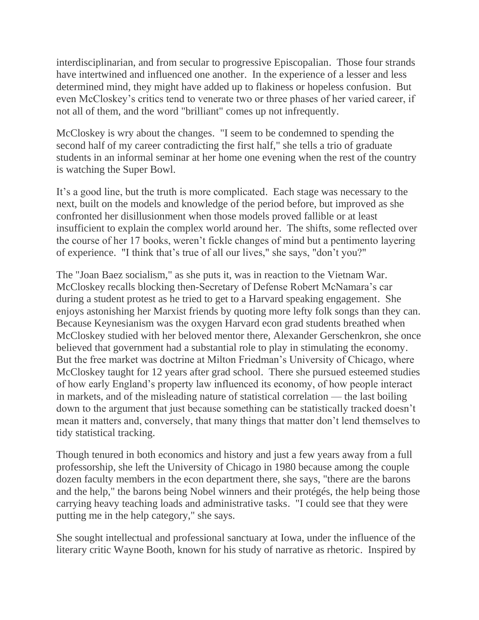interdisciplinarian, and from secular to progressive Episcopalian. Those four strands have intertwined and influenced one another. In the experience of a lesser and less determined mind, they might have added up to flakiness or hopeless confusion. But even McCloskey's critics tend to venerate two or three phases of her varied career, if not all of them, and the word "brilliant" comes up not infrequently.

McCloskey is wry about the changes. "I seem to be condemned to spending the second half of my career contradicting the first half," she tells a trio of graduate students in an informal seminar at her home one evening when the rest of the country is watching the Super Bowl.

It's a good line, but the truth is more complicated. Each stage was necessary to the next, built on the models and knowledge of the period before, but improved as she confronted her disillusionment when those models proved fallible or at least insufficient to explain the complex world around her. The shifts, some reflected over the course of her 17 books, weren't fickle changes of mind but a pentimento layering of experience. "I think that's true of all our lives," she says, "don't you?"

The "Joan Baez socialism," as she puts it, was in reaction to the Vietnam War. McCloskey recalls blocking then-Secretary of Defense Robert McNamara's car during a student protest as he tried to get to a Harvard speaking engagement. She enjoys astonishing her Marxist friends by quoting more lefty folk songs than they can. Because Keynesianism was the oxygen Harvard econ grad students breathed when McCloskey studied with her beloved mentor there, Alexander Gerschenkron, she once believed that government had a substantial role to play in stimulating the economy. But the free market was doctrine at Milton Friedman's University of Chicago, where McCloskey taught for 12 years after grad school. There she pursued esteemed studies of how early England's property law influenced its economy, of how people interact in markets, and of the misleading nature of statistical correlation — the last boiling down to the argument that just because something can be statistically tracked doesn't mean it matters and, conversely, that many things that matter don't lend themselves to tidy statistical tracking.

Though tenured in both economics and history and just a few years away from a full professorship, she left the University of Chicago in 1980 because among the couple dozen faculty members in the econ department there, she says, "there are the barons and the help," the barons being Nobel winners and their protégés, the help being those carrying heavy teaching loads and administrative tasks. "I could see that they were putting me in the help category," she says.

She sought intellectual and professional sanctuary at Iowa, under the influence of the literary critic Wayne Booth, known for his study of narrative as rhetoric. Inspired by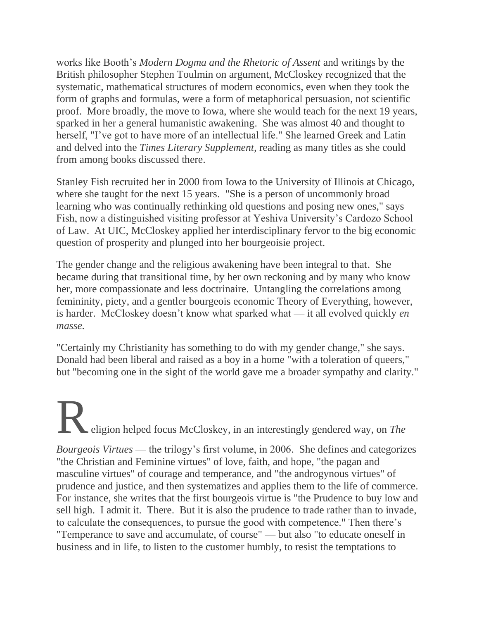works like Booth's *Modern Dogma and the Rhetoric of Assent* and writings by the British philosopher Stephen Toulmin on argument, McCloskey recognized that the systematic, mathematical structures of modern economics, even when they took the form of graphs and formulas, were a form of metaphorical persuasion, not scientific proof. More broadly, the move to Iowa, where she would teach for the next 19 years, sparked in her a general humanistic awakening. She was almost 40 and thought to herself, "I've got to have more of an intellectual life." She learned Greek and Latin and delved into the *Times Literary Supplement,* reading as many titles as she could from among books discussed there.

Stanley Fish recruited her in 2000 from Iowa to the University of Illinois at Chicago, where she taught for the next 15 years. "She is a person of uncommonly broad learning who was continually rethinking old questions and posing new ones," says Fish, now a distinguished visiting professor at Yeshiva University's Cardozo School of Law. At UIC, McCloskey applied her interdisciplinary fervor to the big economic question of prosperity and plunged into her bourgeoisie project.

The gender change and the religious awakening have been integral to that. She became during that transitional time, by her own reckoning and by many who know her, more compassionate and less doctrinaire. Untangling the correlations among femininity, piety, and a gentler bourgeois economic Theory of Everything, however, is harder. McCloskey doesn't know what sparked what — it all evolved quickly *en masse.*

"Certainly my Christianity has something to do with my gender change," she says. Donald had been liberal and raised as a boy in a home "with a toleration of queers," but "becoming one in the sight of the world gave me a broader sympathy and clarity."

Religion helped focus McCloskey, in an interestingly gendered way, on *The Bourgeois Virtues* — the trilogy's first volume, in 2006. She defines and categorizes "the Christian and Feminine virtues" of love, faith, and hope, "the pagan and masculine virtues" of courage and temperance, and "the androgynous virtues" of prudence and justice, and then systematizes and applies them to the life of commerce. For instance, she writes that the first bourgeois virtue is "the Prudence to buy low and sell high. I admit it. There. But it is also the prudence to trade rather than to invade, to calculate the consequences, to pursue the good with competence." Then there's "Temperance to save and accumulate, of course" — but also "to educate oneself in business and in life, to listen to the customer humbly, to resist the temptations to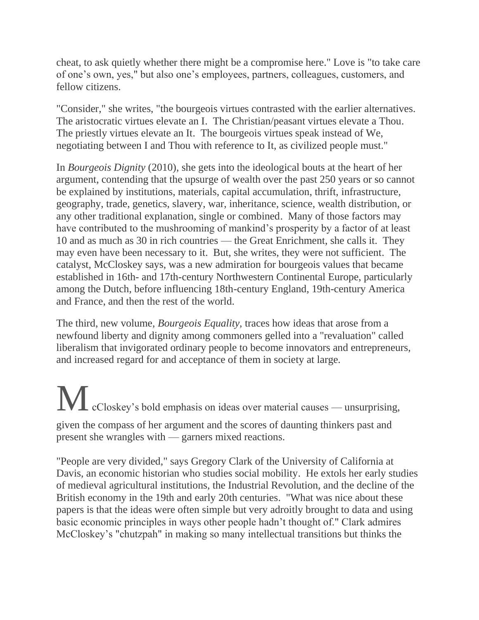cheat, to ask quietly whether there might be a compromise here." Love is "to take care of one's own, yes," but also one's employees, partners, colleagues, customers, and fellow citizens.

"Consider," she writes, "the bourgeois virtues contrasted with the earlier alternatives. The aristocratic virtues elevate an I. The Christian/peasant virtues elevate a Thou. The priestly virtues elevate an It. The bourgeois virtues speak instead of We, negotiating between I and Thou with reference to It, as civilized people must."

In *Bourgeois Dignity* (2010), she gets into the ideological bouts at the heart of her argument, contending that the upsurge of wealth over the past 250 years or so cannot be explained by institutions, materials, capital accumulation, thrift, infrastructure, geography, trade, genetics, slavery, war, inheritance, science, wealth distribution, or any other traditional explanation, single or combined. Many of those factors may have contributed to the mushrooming of mankind's prosperity by a factor of at least 10 and as much as 30 in rich countries — the Great Enrichment, she calls it. They may even have been necessary to it. But, she writes, they were not sufficient. The catalyst, McCloskey says, was a new admiration for bourgeois values that became established in 16th- and 17th-century Northwestern Continental Europe, particularly among the Dutch, before influencing 18th-century England, 19th-century America and France, and then the rest of the world.

The third, new volume, *Bourgeois Equality,* traces how ideas that arose from a newfound liberty and dignity among commoners gelled into a "revaluation" called liberalism that invigorated ordinary people to become innovators and entrepreneurs, and increased regard for and acceptance of them in society at large.

McCloskey's bold emphasis on ideas over material causes — unsurprising, given the compass of her argument and the scores of daunting thinkers past and present she wrangles with — garners mixed reactions.

"People are very divided," says Gregory Clark of the University of California at Davis, an economic historian who studies social mobility. He extols her early studies of medieval agricultural institutions, the Industrial Revolution, and the decline of the British economy in the 19th and early 20th centuries. "What was nice about these papers is that the ideas were often simple but very adroitly brought to data and using basic economic principles in ways other people hadn't thought of." Clark admires McCloskey's "chutzpah" in making so many intellectual transitions but thinks the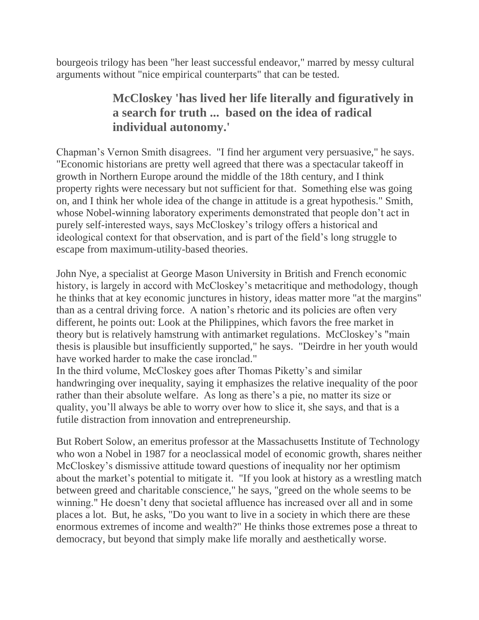bourgeois trilogy has been "her least successful endeavor," marred by messy cultural arguments without "nice empirical counterparts" that can be tested.

## **McCloskey 'has lived her life literally and figuratively in a search for truth ... based on the idea of radical individual autonomy.'**

Chapman's Vernon Smith disagrees. "I find her argument very persuasive," he says. "Economic historians are pretty well agreed that there was a spectacular takeoff in growth in Northern Europe around the middle of the 18th century, and I think property rights were necessary but not sufficient for that. Something else was going on, and I think her whole idea of the change in attitude is a great hypothesis." Smith, whose Nobel-winning laboratory experiments demonstrated that people don't act in purely self-interested ways, says McCloskey's trilogy offers a historical and ideological context for that observation, and is part of the field's long struggle to escape from maximum-utility-based theories.

John Nye, a specialist at George Mason University in British and French economic history, is largely in accord with McCloskey's metacritique and methodology, though he thinks that at key economic junctures in history, ideas matter more "at the margins" than as a central driving force. A nation's rhetoric and its policies are often very different, he points out: Look at the Philippines, which favors the free market in theory but is relatively hamstrung with antimarket regulations. McCloskey's "main thesis is plausible but insufficiently supported," he says. "Deirdre in her youth would have worked harder to make the case ironclad."

In the third volume, McCloskey goes after Thomas Piketty's and similar handwringing over inequality, saying it emphasizes the relative inequality of the poor rather than their absolute welfare. As long as there's a pie, no matter its size or quality, you'll always be able to worry over how to slice it, she says, and that is a futile distraction from innovation and entrepreneurship.

But Robert Solow, an emeritus professor at the Massachusetts Institute of Technology who won a Nobel in 1987 for a neoclassical model of economic growth, shares neither McCloskey's dismissive attitude toward questions of inequality nor her optimism about the market's potential to mitigate it. "If you look at history as a wrestling match between greed and charitable conscience," he says, "greed on the whole seems to be winning." He doesn't deny that societal affluence has increased over all and in some places a lot. But, he asks, "Do you want to live in a society in which there are these enormous extremes of income and wealth?" He thinks those extremes pose a threat to democracy, but beyond that simply make life morally and aesthetically worse.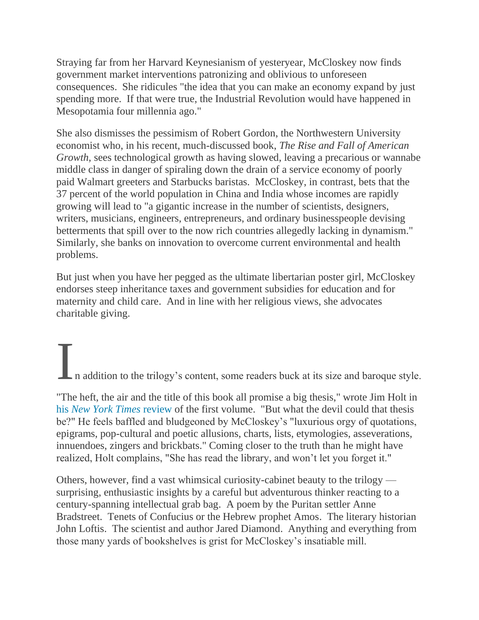Straying far from her Harvard Keynesianism of yesteryear, McCloskey now finds government market interventions patronizing and oblivious to unforeseen consequences. She ridicules "the idea that you can make an economy expand by just spending more. If that were true, the Industrial Revolution would have happened in Mesopotamia four millennia ago."

She also dismisses the pessimism of Robert Gordon, the Northwestern University economist who, in his recent, much-discussed book, *The Rise and Fall of American Growth,* sees technological growth as having slowed, leaving a precarious or wannabe middle class in danger of spiraling down the drain of a service economy of poorly paid Walmart greeters and Starbucks baristas. McCloskey, in contrast, bets that the 37 percent of the world population in China and India whose incomes are rapidly growing will lead to "a gigantic increase in the number of scientists, designers, writers, musicians, engineers, entrepreneurs, and ordinary businesspeople devising betterments that spill over to the now rich countries allegedly lacking in dynamism." Similarly, she banks on innovation to overcome current environmental and health problems.

But just when you have her pegged as the ultimate libertarian poster girl, McCloskey endorses steep inheritance taxes and government subsidies for education and for maternity and child care. And in line with her religious views, she advocates charitable giving.

In addition to the trilogy's content, some readers buck at its size and baroque style.

"The heft, the air and the title of this book all promise a big thesis," wrote Jim Holt in his *[New York Times](http://www.nytimes.com/2006/07/30/books/review/30holt.html?_r=1)* review of the first volume. "But what the devil could that thesis be?" He feels baffled and bludgeoned by McCloskey's "luxurious orgy of quotations, epigrams, pop-cultural and poetic allusions, charts, lists, etymologies, asseverations, innuendoes, zingers and brickbats." Coming closer to the truth than he might have realized, Holt complains, "She has read the library, and won't let you forget it."

Others, however, find a vast whimsical curiosity-cabinet beauty to the trilogy surprising, enthusiastic insights by a careful but adventurous thinker reacting to a century-spanning intellectual grab bag. A poem by the Puritan settler Anne Bradstreet. Tenets of Confucius or the Hebrew prophet Amos. The literary historian John Loftis. The scientist and author Jared Diamond. Anything and everything from those many yards of bookshelves is grist for McCloskey's insatiable mill.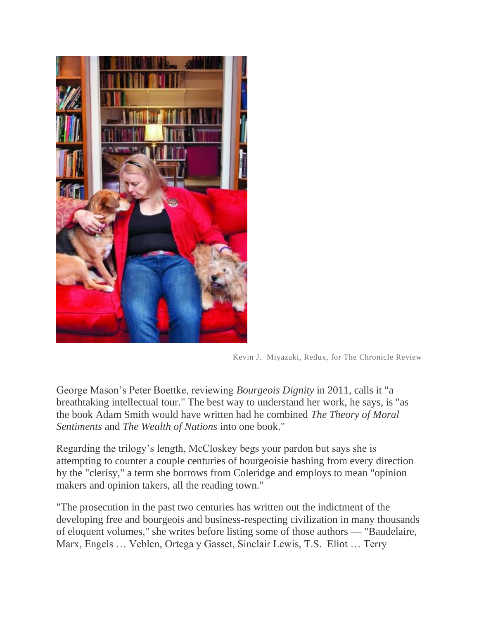

Kevin J. Miyazaki, Redux, for The Chronicle Review

George Mason's Peter Boettke, reviewing *Bourgeois Dignity* in 2011, calls it "a breathtaking intellectual tour." The best way to understand her work, he says, is "as the book Adam Smith would have written had he combined *The Theory of Moral Sentiments* and *The Wealth of Nations* into one book."

Regarding the trilogy's length, McCloskey begs your pardon but says she is attempting to counter a couple centuries of bourgeoisie bashing from every direction by the "clerisy," a term she borrows from Coleridge and employs to mean "opinion makers and opinion takers, all the reading town."

"The prosecution in the past two centuries has written out the indictment of the developing free and bourgeois and business-respecting civilization in many thousands of eloquent volumes," she writes before listing some of those authors — "Baudelaire, Marx, Engels … Veblen, Ortega y Gasset, Sinclair Lewis, T.S. Eliot … Terry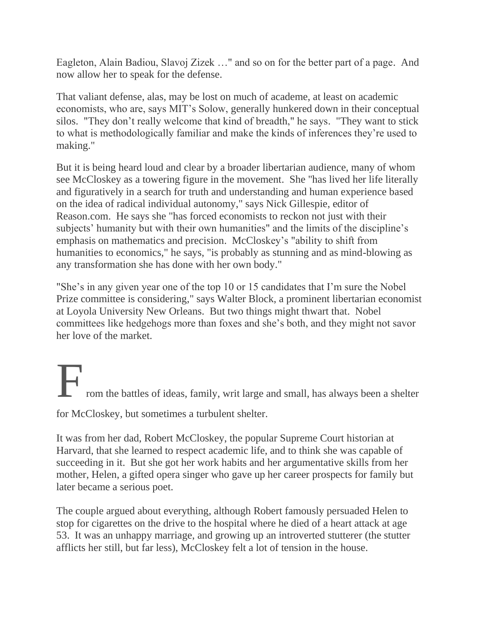Eagleton, Alain Badiou, Slavoj Zizek …" and so on for the better part of a page. And now allow her to speak for the defense.

That valiant defense, alas, may be lost on much of academe, at least on academic economists, who are, says MIT's Solow, generally hunkered down in their conceptual silos. "They don't really welcome that kind of breadth," he says. "They want to stick to what is methodologically familiar and make the kinds of inferences they're used to making."

But it is being heard loud and clear by a broader libertarian audience, many of whom see McCloskey as a towering figure in the movement. She "has lived her life literally and figuratively in a search for truth and understanding and human experience based on the idea of radical individual autonomy," says Nick Gillespie, editor of Reason.com. He says she "has forced economists to reckon not just with their subjects' humanity but with their own humanities" and the limits of the discipline's emphasis on mathematics and precision. McCloskey's "ability to shift from humanities to economics," he says, "is probably as stunning and as mind-blowing as any transformation she has done with her own body."

"She's in any given year one of the top 10 or 15 candidates that I'm sure the Nobel Prize committee is considering," says Walter Block, a prominent libertarian economist at Loyola University New Orleans. But two things might thwart that. Nobel committees like hedgehogs more than foxes and she's both, and they might not savor her love of the market.

From the battles of ideas, family, writ large and small, has always been a shelter

for McCloskey, but sometimes a turbulent shelter.

It was from her dad, Robert McCloskey, the popular Supreme Court historian at Harvard, that she learned to respect academic life, and to think she was capable of succeeding in it. But she got her work habits and her argumentative skills from her mother, Helen, a gifted opera singer who gave up her career prospects for family but later became a serious poet.

The couple argued about everything, although Robert famously persuaded Helen to stop for cigarettes on the drive to the hospital where he died of a heart attack at age 53. It was an unhappy marriage, and growing up an introverted stutterer (the stutter afflicts her still, but far less), McCloskey felt a lot of tension in the house.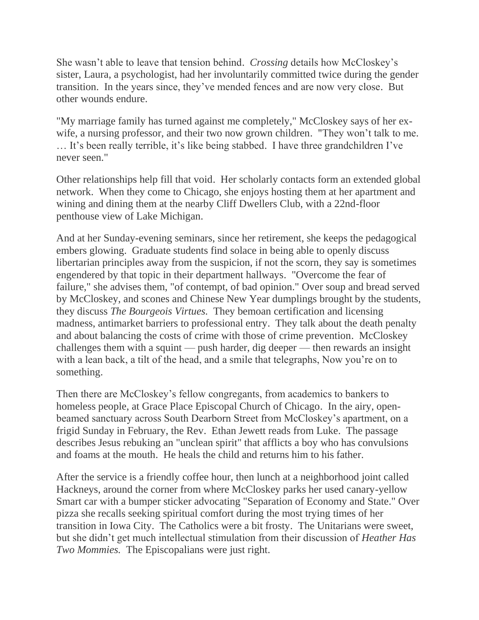She wasn't able to leave that tension behind. *Crossing* details how McCloskey's sister, Laura, a psychologist, had her involuntarily committed twice during the gender transition. In the years since, they've mended fences and are now very close. But other wounds endure.

"My marriage family has turned against me completely," McCloskey says of her exwife, a nursing professor, and their two now grown children. "They won't talk to me. … It's been really terrible, it's like being stabbed. I have three grandchildren I've never seen."

Other relationships help fill that void. Her scholarly contacts form an extended global network. When they come to Chicago, she enjoys hosting them at her apartment and wining and dining them at the nearby Cliff Dwellers Club, with a 22nd-floor penthouse view of Lake Michigan.

And at her Sunday-evening seminars, since her retirement, she keeps the pedagogical embers glowing. Graduate students find solace in being able to openly discuss libertarian principles away from the suspicion, if not the scorn, they say is sometimes engendered by that topic in their department hallways. "Overcome the fear of failure," she advises them, "of contempt, of bad opinion." Over soup and bread served by McCloskey, and scones and Chinese New Year dumplings brought by the students, they discuss *The Bourgeois Virtues.* They bemoan certification and licensing madness, antimarket barriers to professional entry. They talk about the death penalty and about balancing the costs of crime with those of crime prevention. McCloskey challenges them with a squint — push harder, dig deeper — then rewards an insight with a lean back, a tilt of the head, and a smile that telegraphs, Now you're on to something.

Then there are McCloskey's fellow congregants, from academics to bankers to homeless people, at Grace Place Episcopal Church of Chicago. In the airy, openbeamed sanctuary across South Dearborn Street from McCloskey's apartment, on a frigid Sunday in February, the Rev. Ethan Jewett reads from Luke. The passage describes Jesus rebuking an "unclean spirit" that afflicts a boy who has convulsions and foams at the mouth. He heals the child and returns him to his father.

After the service is a friendly coffee hour, then lunch at a neighborhood joint called Hackneys, around the corner from where McCloskey parks her used canary-yellow Smart car with a bumper sticker advocating "Separation of Economy and State." Over pizza she recalls seeking spiritual comfort during the most trying times of her transition in Iowa City. The Catholics were a bit frosty. The Unitarians were sweet, but she didn't get much intellectual stimulation from their discussion of *Heather Has Two Mommies.* The Episcopalians were just right.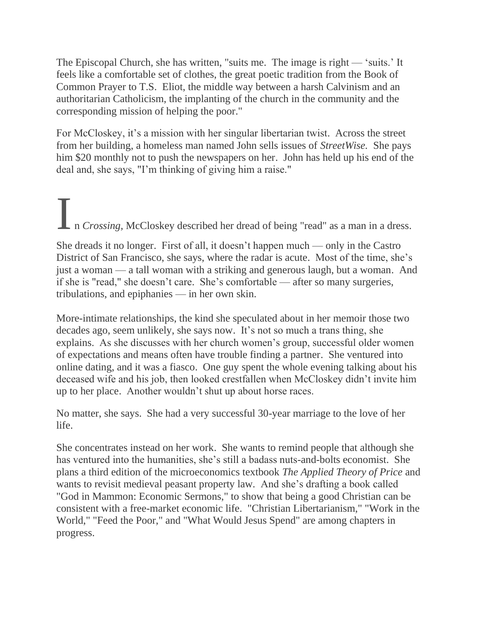The Episcopal Church, she has written, "suits me. The image is right — 'suits.' It feels like a comfortable set of clothes, the great poetic tradition from the Book of Common Prayer to T.S. Eliot, the middle way between a harsh Calvinism and an authoritarian Catholicism, the implanting of the church in the community and the corresponding mission of helping the poor."

For McCloskey, it's a mission with her singular libertarian twist. Across the street from her building, a homeless man named John sells issues of *StreetWise.* She pays him \$20 monthly not to push the newspapers on her. John has held up his end of the deal and, she says, "I'm thinking of giving him a raise."

I n *Crossing*, McCloskey described her dread of being "read" as a man in a dress. She dreads it no longer. First of all, it doesn't happen much — only in the Castro District of San Francisco, she says, where the radar is acute. Most of the time, she's just a woman — a tall woman with a striking and generous laugh, but a woman. And if she is "read," she doesn't care. She's comfortable — after so many surgeries, tribulations, and epiphanies — in her own skin.

More-intimate relationships, the kind she speculated about in her memoir those two decades ago, seem unlikely, she says now. It's not so much a trans thing, she explains. As she discusses with her church women's group, successful older women of expectations and means often have trouble finding a partner. She ventured into online dating, and it was a fiasco. One guy spent the whole evening talking about his deceased wife and his job, then looked crestfallen when McCloskey didn't invite him up to her place. Another wouldn't shut up about horse races.

No matter, she says. She had a very successful 30-year marriage to the love of her life.

She concentrates instead on her work. She wants to remind people that although she has ventured into the humanities, she's still a badass nuts-and-bolts economist. She plans a third edition of the microeconomics textbook *The Applied Theory of Price* and wants to revisit medieval peasant property law*.* And she's drafting a book called "God in Mammon: Economic Sermons," to show that being a good Christian can be consistent with a free-market economic life. "Christian Libertarianism," "Work in the World," "Feed the Poor," and "What Would Jesus Spend" are among chapters in progress.